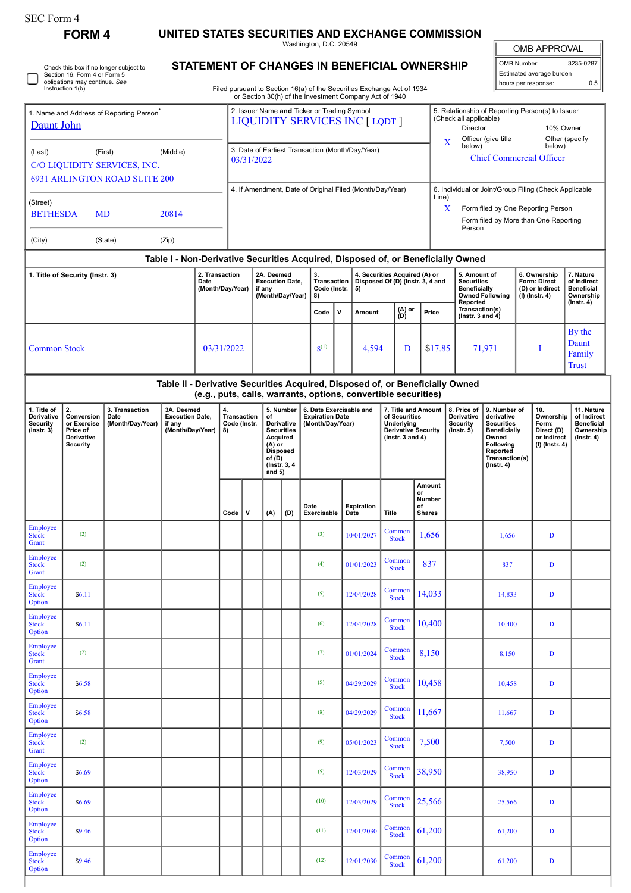**FORM 4 UNITED STATES SECURITIES AND EXCHANGE COMMISSION**

Washington, D.C. 20549 **STATEMENT OF CHANGES IN BENEFICIAL OWNERSHIP**

OMB APPROVAL OMB Number: 3235-0287 Estimated average burden

| Check this box if no longer subject to<br>STATEMENT OF CHANGES IN BENEFICIAL OWNERSHIP<br>Estimated average burden<br>Section 16. Form 4 or Form 5<br>obligations may continue. See<br>0.5<br>hours per response:<br>Instruction 1(b).<br>Filed pursuant to Section 16(a) of the Securities Exchange Act of 1934<br>or Section 30(h) of the Investment Company Act of 1940 |                                                                                                                                                 |  |                                                |  |                                                                                                                                    |                                                                                       |                                                                       |                                                                    |                     |                                                                                                          |                           |                                                                   |                                                                 |                                                                                                                                                    |                                         |                                                                          |                                                                                 |                                                                     |                                                                                |  |  |
|----------------------------------------------------------------------------------------------------------------------------------------------------------------------------------------------------------------------------------------------------------------------------------------------------------------------------------------------------------------------------|-------------------------------------------------------------------------------------------------------------------------------------------------|--|------------------------------------------------|--|------------------------------------------------------------------------------------------------------------------------------------|---------------------------------------------------------------------------------------|-----------------------------------------------------------------------|--------------------------------------------------------------------|---------------------|----------------------------------------------------------------------------------------------------------|---------------------------|-------------------------------------------------------------------|-----------------------------------------------------------------|----------------------------------------------------------------------------------------------------------------------------------------------------|-----------------------------------------|--------------------------------------------------------------------------|---------------------------------------------------------------------------------|---------------------------------------------------------------------|--------------------------------------------------------------------------------|--|--|
| 1. Name and Address of Reporting Person <sup>7</sup><br>Daunt John                                                                                                                                                                                                                                                                                                         |                                                                                                                                                 |  |                                                |  |                                                                                                                                    | 2. Issuer Name and Ticker or Trading Symbol<br><b>LIQUIDITY SERVICES INC [ LQDT ]</b> |                                                                       |                                                                    |                     |                                                                                                          |                           |                                                                   |                                                                 | 5. Relationship of Reporting Person(s) to Issuer<br>(Check all applicable)<br><b>Director</b><br>10% Owner                                         |                                         |                                                                          |                                                                                 |                                                                     |                                                                                |  |  |
| (First)<br>(Middle)<br>(Last)<br>C/O LIQUIDITY SERVICES, INC.                                                                                                                                                                                                                                                                                                              |                                                                                                                                                 |  |                                                |  |                                                                                                                                    | 3. Date of Earliest Transaction (Month/Day/Year)<br>03/31/2022                        |                                                                       |                                                                    |                     |                                                                                                          |                           |                                                                   |                                                                 | Officer (give title<br>Other (specify<br>$\mathbf X$<br>below)<br>below)<br><b>Chief Commercial Officer</b>                                        |                                         |                                                                          |                                                                                 |                                                                     |                                                                                |  |  |
| <b>6931 ARLINGTON ROAD SUITE 200</b><br>(Street)<br><b>BETHESDA</b><br><b>MD</b><br>20814                                                                                                                                                                                                                                                                                  |                                                                                                                                                 |  |                                                |  |                                                                                                                                    | 4. If Amendment, Date of Original Filed (Month/Day/Year)                              |                                                                       |                                                                    |                     |                                                                                                          |                           |                                                                   |                                                                 | 6. Individual or Joint/Group Filing (Check Applicable<br>Line)<br>Form filed by One Reporting Person<br>X<br>Form filed by More than One Reporting |                                         |                                                                          |                                                                                 |                                                                     |                                                                                |  |  |
| (City)<br>(State)<br>(Zip)                                                                                                                                                                                                                                                                                                                                                 |                                                                                                                                                 |  |                                                |  |                                                                                                                                    |                                                                                       |                                                                       |                                                                    |                     |                                                                                                          |                           |                                                                   |                                                                 |                                                                                                                                                    | Person                                  |                                                                          |                                                                                 |                                                                     |                                                                                |  |  |
|                                                                                                                                                                                                                                                                                                                                                                            | Table I - Non-Derivative Securities Acquired, Disposed of, or Beneficially Owned                                                                |  |                                                |  |                                                                                                                                    |                                                                                       |                                                                       |                                                                    |                     |                                                                                                          |                           |                                                                   |                                                                 |                                                                                                                                                    |                                         |                                                                          |                                                                                 |                                                                     |                                                                                |  |  |
| 2. Transaction<br>1. Title of Security (Instr. 3)<br>Date<br>(Month/Day/Year)                                                                                                                                                                                                                                                                                              |                                                                                                                                                 |  |                                                |  |                                                                                                                                    |                                                                                       |                                                                       | 2A. Deemed<br><b>Execution Date,</b><br>if any<br>(Month/Day/Year) |                     | 3.<br><b>Transaction</b><br>Code (Instr.<br>5)<br>8)                                                     |                           | 4. Securities Acquired (A) or<br>Disposed Of (D) (Instr. 3, 4 and |                                                                 | 5. Amount of<br><b>Securities</b><br>Beneficially<br>Reported                                                                                      |                                         | <b>Owned Following</b>                                                   |                                                                                 | 6. Ownership<br>Form: Direct<br>(D) or Indirect<br>$(I)$ (Instr. 4) | 7. Nature<br>of Indirect<br><b>Beneficial</b><br>Ownership<br>$($ Instr. 4 $)$ |  |  |
|                                                                                                                                                                                                                                                                                                                                                                            |                                                                                                                                                 |  |                                                |  |                                                                                                                                    |                                                                                       |                                                                       |                                                                    |                     | $\mathsf{v}$                                                                                             | Amount                    | (A) or<br>(D)                                                     |                                                                 | Price                                                                                                                                              | Transaction(s)<br>(Instr. $3$ and $4$ ) |                                                                          |                                                                                 |                                                                     |                                                                                |  |  |
| <b>Common Stock</b><br>03/31/2022                                                                                                                                                                                                                                                                                                                                          |                                                                                                                                                 |  |                                                |  |                                                                                                                                    |                                                                                       |                                                                       |                                                                    | $S^{(1)}$           |                                                                                                          | 4,594                     | D                                                                 |                                                                 | \$17.85                                                                                                                                            | 71,971                                  |                                                                          |                                                                                 | Т                                                                   | By the<br>Daunt<br>Family<br><b>Trust</b>                                      |  |  |
|                                                                                                                                                                                                                                                                                                                                                                            | Table II - Derivative Securities Acquired, Disposed of, or Beneficially Owned<br>(e.g., puts, calls, warrants, options, convertible securities) |  |                                                |  |                                                                                                                                    |                                                                                       |                                                                       |                                                                    |                     |                                                                                                          |                           |                                                                   |                                                                 |                                                                                                                                                    |                                         |                                                                          |                                                                                 |                                                                     |                                                                                |  |  |
| 2.<br>1. Title of<br>3. Transaction<br>3A. Deemed<br>Derivative<br>Conversion<br><b>Execution Date,</b><br>Date<br>Security<br>or Exercise<br>(Month/Day/Year)<br>if any<br>(Month/Day/Year)<br>$($ Instr. 3 $)$<br>Price of<br>Derivative<br><b>Security</b>                                                                                                              |                                                                                                                                                 |  | 4.<br><b>Transaction</b><br>Code (Instr.<br>8) |  | 5. Number<br>of<br>Derivative<br><b>Securities</b><br>Acquired<br>(A) or<br><b>Disposed</b><br>of (D)<br>(Instr. 3, 4)<br>and $5)$ |                                                                                       | 6. Date Exercisable and<br><b>Expiration Date</b><br>(Month/Day/Year) |                                                                    |                     | 7. Title and Amount<br>of Securities<br>Underlying<br><b>Derivative Security</b><br>( $lnstr. 3 and 4$ ) |                           |                                                                   | 8. Price of<br>Derivative<br><b>Security</b><br>$($ Instr. $5)$ | 9. Number of<br>derivative<br><b>Securities</b><br><b>Beneficially</b><br>Owned<br>Following<br>Reported<br>Transaction(s)<br>$($ Instr. 4 $)$     |                                         | 10.<br>Ownership<br>Form:<br>Direct (D)<br>or Indirect<br>(I) (Instr. 4) | 11. Nature<br>of Indirect<br><b>Beneficial</b><br>Ownership<br>$($ lnstr. 4 $)$ |                                                                     |                                                                                |  |  |
|                                                                                                                                                                                                                                                                                                                                                                            |                                                                                                                                                 |  |                                                |  | Code                                                                                                                               | $\mathbf v$                                                                           | (A)                                                                   | (D)                                                                | Date<br>Exercisable |                                                                                                          | <b>Expiration</b><br>Date | <b>Title</b>                                                      | Amount<br>or<br>Number<br>of<br><b>Shares</b>                   |                                                                                                                                                    |                                         |                                                                          |                                                                                 |                                                                     |                                                                                |  |  |
| Employee<br><b>Stock</b><br>Grant                                                                                                                                                                                                                                                                                                                                          | (2)                                                                                                                                             |  |                                                |  |                                                                                                                                    |                                                                                       |                                                                       |                                                                    | (3)                 |                                                                                                          | 10/01/2027                | Common<br><b>Stock</b>                                            | 1,656                                                           |                                                                                                                                                    |                                         | 1,656                                                                    |                                                                                 | D                                                                   |                                                                                |  |  |
| Employee<br><b>Stock</b><br>Grant                                                                                                                                                                                                                                                                                                                                          | (2)                                                                                                                                             |  |                                                |  |                                                                                                                                    |                                                                                       |                                                                       |                                                                    | (4)                 |                                                                                                          | 01/01/2023                | Common<br><b>Stock</b>                                            | 837                                                             |                                                                                                                                                    |                                         | 837                                                                      |                                                                                 | D                                                                   |                                                                                |  |  |
| Employee<br><b>Stock</b><br>Option                                                                                                                                                                                                                                                                                                                                         | \$6.11                                                                                                                                          |  |                                                |  |                                                                                                                                    |                                                                                       |                                                                       |                                                                    | (5)                 |                                                                                                          | 12/04/2028                | Common<br><b>Stock</b>                                            | 14,033                                                          |                                                                                                                                                    |                                         | 14,833                                                                   |                                                                                 | $\mathbf D$                                                         |                                                                                |  |  |
| Employee<br><b>Stock</b><br>Option                                                                                                                                                                                                                                                                                                                                         | \$6.11                                                                                                                                          |  |                                                |  |                                                                                                                                    |                                                                                       |                                                                       |                                                                    | (6)                 |                                                                                                          | 12/04/2028                | Common<br><b>Stock</b>                                            | 10,400                                                          |                                                                                                                                                    |                                         | 10,400                                                                   |                                                                                 | $\mathbf D$                                                         |                                                                                |  |  |
| Employee<br><b>Stock</b><br>Grant                                                                                                                                                                                                                                                                                                                                          | (2)                                                                                                                                             |  |                                                |  |                                                                                                                                    |                                                                                       |                                                                       |                                                                    | (7)                 |                                                                                                          | 01/01/2024                | Common<br><b>Stock</b>                                            | 8,150                                                           |                                                                                                                                                    |                                         | 8,150                                                                    |                                                                                 | D                                                                   |                                                                                |  |  |
| Employee<br><b>Stock</b><br>Option                                                                                                                                                                                                                                                                                                                                         | \$6.58                                                                                                                                          |  |                                                |  |                                                                                                                                    |                                                                                       |                                                                       |                                                                    | (5)                 |                                                                                                          | 04/29/2029                | Common<br><b>Stock</b>                                            | 10,458                                                          |                                                                                                                                                    |                                         | 10,458                                                                   |                                                                                 | D                                                                   |                                                                                |  |  |
| Employee<br><b>Stock</b><br>Option                                                                                                                                                                                                                                                                                                                                         | \$6.58                                                                                                                                          |  |                                                |  |                                                                                                                                    |                                                                                       |                                                                       |                                                                    | (8)                 |                                                                                                          | 04/29/2029                | Common<br><b>Stock</b>                                            | 11,667                                                          |                                                                                                                                                    |                                         | 11,667                                                                   |                                                                                 | $\mathbf D$                                                         |                                                                                |  |  |
| Employee<br><b>Stock</b><br>Grant                                                                                                                                                                                                                                                                                                                                          | (2)                                                                                                                                             |  |                                                |  |                                                                                                                                    |                                                                                       |                                                                       |                                                                    | (9)                 |                                                                                                          | 05/01/2023                | Common<br><b>Stock</b>                                            | 7,500                                                           |                                                                                                                                                    |                                         | 7,500                                                                    |                                                                                 | D                                                                   |                                                                                |  |  |
| Employee<br><b>Stock</b><br>Option                                                                                                                                                                                                                                                                                                                                         | \$6.69                                                                                                                                          |  |                                                |  |                                                                                                                                    |                                                                                       |                                                                       |                                                                    | (5)                 |                                                                                                          | 12/03/2029                | Common<br><b>Stock</b>                                            | 38,950                                                          |                                                                                                                                                    |                                         | 38,950                                                                   |                                                                                 | D                                                                   |                                                                                |  |  |
| Employee<br><b>Stock</b><br>Option                                                                                                                                                                                                                                                                                                                                         | \$6.69                                                                                                                                          |  |                                                |  |                                                                                                                                    |                                                                                       |                                                                       |                                                                    | (10)                |                                                                                                          | 12/03/2029                | Common<br><b>Stock</b>                                            | 25,566                                                          |                                                                                                                                                    |                                         | 25,566                                                                   |                                                                                 | $\mathbf D$                                                         |                                                                                |  |  |
| <b>Employee</b><br><b>Stock</b><br>Option                                                                                                                                                                                                                                                                                                                                  | \$9.46                                                                                                                                          |  |                                                |  |                                                                                                                                    |                                                                                       |                                                                       |                                                                    | (11)                |                                                                                                          | 12/01/2030                | Common<br><b>Stock</b>                                            | 61,200                                                          |                                                                                                                                                    |                                         | 61,200                                                                   |                                                                                 | D                                                                   |                                                                                |  |  |
| Employee<br><b>Stock</b><br>Option                                                                                                                                                                                                                                                                                                                                         | \$9.46                                                                                                                                          |  |                                                |  |                                                                                                                                    |                                                                                       |                                                                       |                                                                    | (12)                |                                                                                                          | 12/01/2030                | Common<br><b>Stock</b>                                            | 61,200                                                          |                                                                                                                                                    |                                         | 61,200                                                                   |                                                                                 | D                                                                   |                                                                                |  |  |